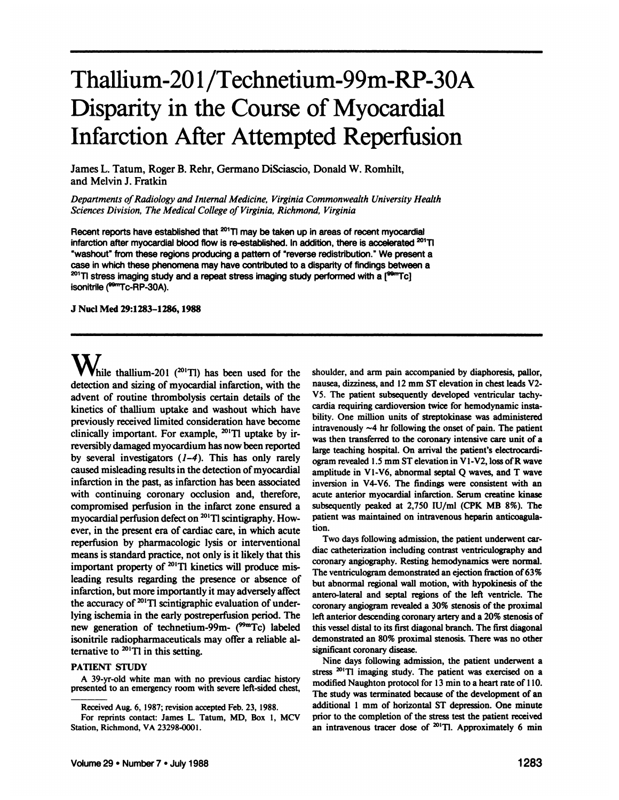# Thallium-201 /Technetium-99m-RP-30A Disparity in the Course of Myocardial Infarction After Attempted Reperfusion

James L. Tatum, Roger B. Rehr, Germano DiSciascio, Donald W. Rombili, and Melvin J. Fratkin

*Departments of Radiology and Internal Medicine, Virginia Commonwealth University Health Sciences Division, The Medical College of Virginia, Richmond, Virginia*

Recent reports have established that <sup>201</sup>TI may be taken up in areas of recent myocardial infarction after myocardial blood flow is re-established. In addition, there is accelerated 201TI "washout" from these regions producing a pattern of "reverse redistribution." We present a case in which these phenomena may have contributed to a disparity of findings between a <sup>201</sup>TI stress imaging study and a repeat stress imaging study performed with a [<sup>99m</sup>Tc] isonitrile (<sup>99m</sup>Tc-RP-30A).

**J NucÃ-Med 29:1283-1286,1988**

 $\mathbf{W}_{\text{hile thallium-201}}$  (<sup>201</sup>Tl) has been used for the detection and sizing of myocardial infarction, with the advent of routine thrombolysis certain details of the kinetics of thallium uptake and washout which have previously received limited consideration have become clinically important. For example,  $^{201}$ Tl uptake by irreversibly damaged myocardium has now been reported by several investigators  $(1-4)$ . This has only rarely caused misleading results in the detection of myocardial infarction in the past, as infarction has been associated with continuing coronary occlusion and, therefore, compromised perfusion in the infarct zone ensured a myocardial perfusion defect on  $^{201}$ T1 scintigraphy. However, in the present era of cardiac care, in which acute reperfusion by pharmacologie lysis or interventional means is standard practice, not only is it likely that this important property of <sup>201</sup>Tl kinetics will produce misleading results regarding the presence or absence of infarction, but more importantly it may adversely affect the accuracy of <sup>201</sup>Tl scintigraphic evaluation of underlying ischemia in the early postreperfusion period. The new generation of technetium-99m- ( $\frac{\text{99m}}{\text{C}}$ ) labeled isonitrile radiopharmaceuticals may offer a reliable al ternative to  $^{201}$ Tl in this setting.

### **PATIENT STUDY**

A 39-yr-old white man with no previous cardiac history presented to an emergency room with severe left-sided chest, shoulder, and arm pain accompanied by diaphoresis, pallor, nausea, dizziness, and 12 mm ST elevation in chest leads V2- V5. The patient subsequently developed ventricular tachy cardia requiring cardioversion twice for hemodynamic insta bility. One million units of streptokinase was administered intravenously  $~4$  hr following the onset of pain. The patient was then transferred to the coronary intensive care unit of a large teaching hospital. On arrival the patient's electrocardi ogram revealed 1.5 mm ST elevation in VI-V2, loss of R wave amplitude in VI-V6, abnormal septal Q waves, and T wave inversion in V4-V6. The findings were consistent with an acute anterior myocardial infarction. Serum creatine kinase subsequently peaked at 2,750 lU/ml (CPK MB 8%). The patient was maintained on intravenous heparin anticoagulation.

Two days following admission, the patient underwent car diac catheterization including contrast ventriculography and coronary angiography. Resting hemodynamics were normal. The ventriculogram demonstrated an ejection fraction of 63% but abnormal regional wall motion, with hypokinesis of the antero-lateral and septal regions of the left ventricle. The coronary angiogram revealed a 30% stenosis of the proximal left anterior descending coronary artery and a 20% stenosis of this vessel distal to its first diagonal branch. The first diagonal demonstrated an 80% proximal stenosis. There was no other significant coronary disease.

Nine days following admission, the patient underwent a stress <sup>201</sup>Tl imaging study. The patient was exercised on a modified Naughton protocol for 13 min to a heart rate of 110. The study was terminated because of the development of an additional 1 mm of horizontal ST depression. One minute prior to the completion of the stress test the patient received an intravenous tracer dose of  $^{201}$ Tl. Approximately 6 min

Received Aug. 6, 1987; revision accepted Feb. 23, 1988.

For reprints contact: James L. Tatum, MD, Box 1, MCV Station, Richmond, VA 23298-0001.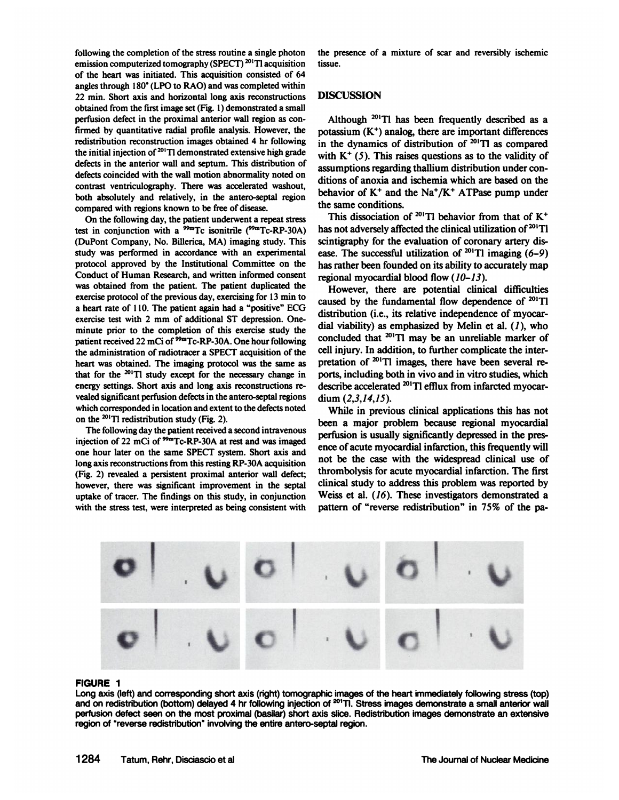following the completion of the stress routine a single photon emission computerized tomography (SPECT)<sup>201</sup>Tl acquisition of the heart was initiated. This acquisition consisted of 64 angles through 180°(LPO to RAO) and was completed within 22 min. Short axis and horizontal long axis reconstructions obtained from the firstimage set (Fig. 1) demonstrated a small perfusion defect in the proximal anterior wall region as con firmed by quantitative radial profile analysis. However, the redistribution reconstruction images obtained 4 hr following the initial injection of  $20^1$ Tl demonstrated extensive high grade defects in the anterior wall and septum. This distribution of defects coincided with the wall motion abnormality noted on contrast ventriculography. There was accelerated washout, both absolutely and relatively, in the antero-septal region compared with regions known to be free of disease.

On the following day, the patient underwent a repeat stress test in conjunction with a  $^{99m}$ Tc isonitrile ( $^{99m}$ Tc-RP-30A) (DuPont Company, No. Billerica, MA) imaging study. This study was performed in accordance with an experimental protocol approved by the Institutional Committee on the Conduct of Human Research, and written informed consent was obtained from the patient. The patient duplicated the exercise protocol of the previous day, exercising for 13 min to a heart rate of 110. The patient again had a "positive" ECG exercise test with 2 mm of additional ST depression. Oneminute prior to the completion of this exercise study the patient received 22 mCi of <sup>99m</sup>Tc-RP-30A. One hour following the administration of radiotracer a SPECT acquisition of the heart was obtained. The imaging protocol was the same as that for the  $201$ T1 study except for the necessary change in energy settings. Short axis and long axis reconstructions re vealed significant perfusion defects in the antero-septal regions which corresponded in location and extent to the defects noted on the  $^{201}$ T1 redistribution study (Fig. 2).

The following day the patient received a second intravenous injection of 22 mCi of <sup>99m</sup>Tc-RP-30A at rest and was imaged one hour later on the same SPECT system. Short axis and long axis reconstructions from this resting RP-30A acquisition (Fig. 2) revealed a persistent proximal anterior wall defect; however, there was significant improvement in the septal uptake of tracer. The findings on this study, in conjunction with the stress test, were interpreted as being consistent with the presence of a mixture of scar and reversibly ischemie tissue.

# **DISCUSSION**

Although  $^{201}$ Tl has been frequently described as a potassium  $(K^+)$  analog, there are important differences in the dynamics of distribution of  $201$ Tl as compared with  $K^+$  (5). This raises questions as to the validity of assumptions regarding thallium distribution under con ditions of anoxia and ischemia which are based on the behavior of  $K^+$  and the Na<sup>+</sup>/ $K^+$  ATPase pump under the same conditions.

This dissociation of <sup>201</sup>Tl behavior from that of  $K^+$ has not adversely affected the clinical utilization of <sup>201</sup>Tl scintigraphy for the evaluation of coronary artery dis ease. The successful utilization of <sup>201</sup>T1 imaging (6-9) has rather been founded on its ability to accurately map regional myocardial blood flow  $(10-13)$ .

However, there are potential clinical difficulties caused by the fundamental flow dependence of  $^{201}$ Tl distribution (i.e., its relative independence of myocar dial viability) as emphasized by Melin et al.  $(1)$ , who concluded that  $201$ T1 may be an unreliable marker of cell injury. In addition, to further complicate the inter pretation of  $^{201}$ T1 images, there have been several reports, including both in vivo and in vitro studies, which describe accelerated <sup>201</sup>T1 efflux from infarcted myocardium (2,3,14,15).

While in previous clinical applications this has not been a major problem because regional myocardial perfusion is usually significantly depressed in the pres ence of acute myocardial infarction, this frequently will not be the case with the widespread clinical use of thrombolysis for acute myocardial infarction. The first clinical study to address this problem was reported by Weiss et al. (16). These investigators demonstrated a pattern of "reverse redistribution" in 75% of the pa-



FIGURE 1<br>Long axis (left) and corresponding short axis (right) tomographic images of the heart immediately following stress (top) and on redistribution (bottom) delayed 4 hr following injection of <sup>201</sup>Tl. Stress images demonstrate a small anterior wall perfusion defect seen on the most proximal (basilar) short axis slice. Redistribution images demonstrate an extensive<br>region of "reverse redistribution" involving the entire antero-septal region.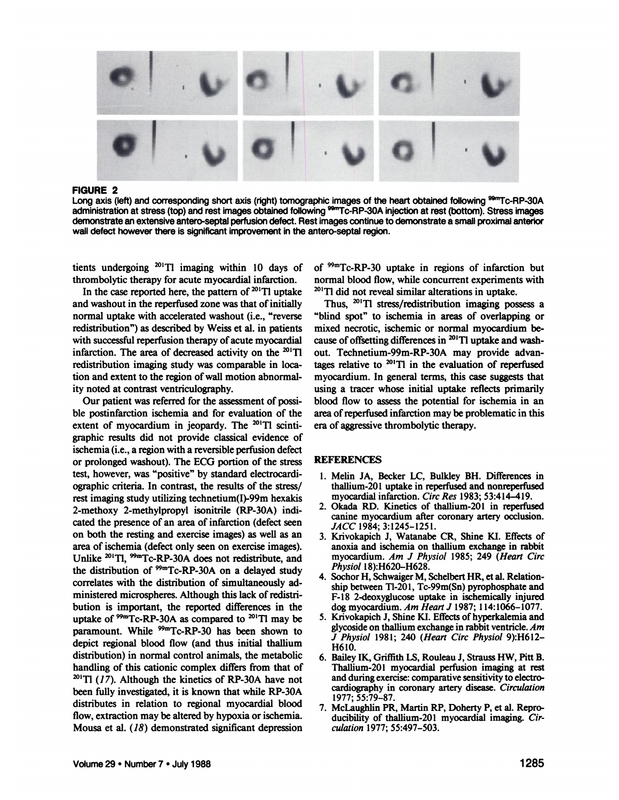

**FIGURE 2**

Long axis (left) and corresponding short axis (right) tomographic images of the heart obtained following <sup>99m</sup>Tc-RP-30A administration at stress (top) and rest images obtained following <sup>99m</sup>Tc-RP-30A injection at rest (bottom). Stress images demonstrate an extensive antero-septal perfusion defect. Rest images continue to demonstrate a small proximal anterior wall defect however there is significant improvement in the antero-septal region.

tients undergoing  $^{201}$ Tl imaging within 10 days of thrombolytic therapy for acute myocardial infarction.

and washout in the reperfused zone was that of initially normal uptake with accelerated washout (i.e., "reverse redistribution") as described by Weiss et al. in patients with successful reperfusion therapy of acute myocardial infarction. The area of decreased activity on the  $^{201}$ Tl redistribution imaging study was comparable in loca tion and extent to the region of wall motion abnormal ity noted at contrast ventriculography.

Our patient was referred for the assessment of possi ble postinfarction ischemia and for evaluation of the extent of myocardium in jeopardy. The  $^{201}$ T1 scintigraphic results did not provide classical evidence of ischemia (i.e., a region with a reversible perfusion defect or prolonged washout). The ECG portion of the stress test, however, was "positive" by standard electrocardiographic criteria. In contrast, the results of the stress/ rest imaging study utilizing technetium(I)-99m hexakis 2-methoxy 2-methylpropyl isonitrile (RP-30A) indi cated the presence of an area of infarction (defect seen on both the resting and exercise images) as well as an area of ischemia (defect only seen on exercise images).<br>Unlike <sup>201</sup>Tl, <sup>99m</sup>Tc-RP-30A does not redistribute, and the distribution of  $99m$ Tc-RP-30A on a delayed study correlates with the distribution of simultaneously ad ministered microspheres. Although this lack of redistri bution is important, the reported differences in the uptake of  $\frac{99m}{T}$ C-RP-30A as compared to  $\frac{201}{T}$  may be paramount. While <sup>99m</sup>Tc-RP-30 has been shown to depict regional blood flow (and thus initial thallium distribution) in normal control animals, the metabolic handling of this cationic complex differs from that of  $^{201}$ Tl (17). Although the kinetics of RP-30A have not been fully investigated, it is known that while RP-30A distributes in relation to regional myocardial blood flow, extraction may be altered by hypoxia or ischemia. Mousa et al. (18) demonstrated significant depression

In the case reported here, the pattern of <sup>201</sup>T1 uptake  $20^{1}$ T1 did not reveal similar alterations in uptake. of 99nTc-RP-30 uptake in regions of infarction but normal blood flow, while concurrent experiments with

> Thus,  $^{201}$ Tl stress/redistribution imaging possess a "blind spot" to ischemia in areas of overlapping or mixed necrotic, ischemie or normal myocardium be cause of offsetting differences in  $^{201}$ T1 uptake and washout. Technetium-99m-RP-30A may provide advan tages relative to  $^{201}$ T1 in the evaluation of reperfused myocardium. In general terms, this case suggests that using a tracer whose initial uptake reflects primarily blood flow to assess the potential for ischemia in an area of reperfused infarction may be problematic in this era of aggressive thrombolytic therapy.

## **REFERENCES**

- 1. Melin JA, Becker LC, Bulkley BH. Differences in thallium-201 uptake in reperfused and nonreperfused myocardial infarction. Circ Res 1983; 53:414-419.
- 2. Okada RD. Kinetics of thallium-201 in reperfused canine myocardium after coronary artery occlusion. *JACC 1984; 3:1245-1251.*
- 3. Krivokapich J, Watanabe CR, Shine KI. Effects of anoxia and ischemia on thallium exchange in rabbit myocardium. Am J Physiol 1985; 249 (Heart Circ *Physiol 18):H620-H628.*
- 4. Sochor H, Schwaiger M, Schelbert HR, et al. Relationship between Tl-201, Tc-99m(Sn) pyrophosphate and F-18 2-deoxyglucose uptake in ischemically injured dog myocardium. Am Heart J 1987; 114:1066-1077.
- 5. Krivokapich J, Shine KI. Effects of hyperkalemia and glycoside on thallium exchange in rabbit ventricle. Am *J Physiol 1981; 240 (Heart Circ Physiol 9):H612-* H610.
- 6. Bailey IK, Griffith LS, Rouleau J, Strauss HW, Pitt B. Thallium-201 myocardial perfusion imaging at rest and during exercise: comparative sensitivity to electrocardiography in coronary artery disease. Circulation 1977; 55:79-87.
- 7. McLaughlin PR, Martin RP, Doherty P, et al. Reproducibility of thallium-201 myocardial imaging. Cir *culation 1977; 55:497-503.*